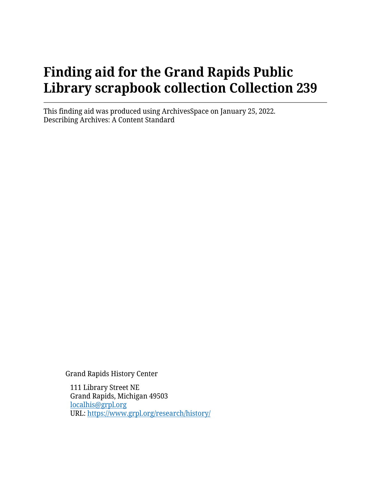# **Finding aid for the Grand Rapids Public Library scrapbook collection Collection 239**

This finding aid was produced using ArchivesSpace on January 25, 2022. Describing Archives: A Content Standard

Grand Rapids History Center

111 Library Street NE Grand Rapids, Michigan 49503 [localhis@grpl.org](mailto:localhis@grpl.org) URL:<https://www.grpl.org/research/history/>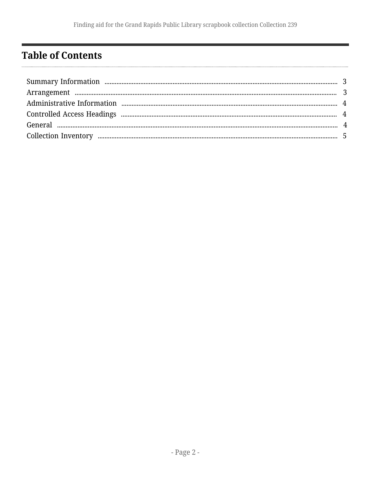### <span id="page-1-0"></span>**Table of Contents**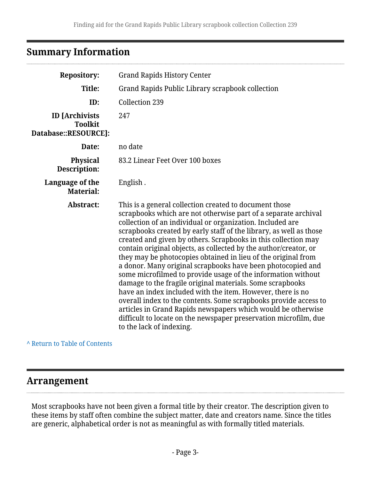### <span id="page-2-0"></span>**Summary Information**

| <b>Repository:</b>                                              | <b>Grand Rapids History Center</b>                                                                                                                                                                                                                                                                                                                                                                                                                                                                                                                                                                                                                                                                                                                                                                                                                                                                                                                               |
|-----------------------------------------------------------------|------------------------------------------------------------------------------------------------------------------------------------------------------------------------------------------------------------------------------------------------------------------------------------------------------------------------------------------------------------------------------------------------------------------------------------------------------------------------------------------------------------------------------------------------------------------------------------------------------------------------------------------------------------------------------------------------------------------------------------------------------------------------------------------------------------------------------------------------------------------------------------------------------------------------------------------------------------------|
| Title:                                                          | Grand Rapids Public Library scrapbook collection                                                                                                                                                                                                                                                                                                                                                                                                                                                                                                                                                                                                                                                                                                                                                                                                                                                                                                                 |
| ID:                                                             | <b>Collection 239</b>                                                                                                                                                                                                                                                                                                                                                                                                                                                                                                                                                                                                                                                                                                                                                                                                                                                                                                                                            |
| <b>ID</b> [Archivists<br><b>Toolkit</b><br>Database::RESOURCE]: | 247                                                                                                                                                                                                                                                                                                                                                                                                                                                                                                                                                                                                                                                                                                                                                                                                                                                                                                                                                              |
| Date:                                                           | no date                                                                                                                                                                                                                                                                                                                                                                                                                                                                                                                                                                                                                                                                                                                                                                                                                                                                                                                                                          |
| <b>Physical</b><br>Description:                                 | 83.2 Linear Feet Over 100 boxes                                                                                                                                                                                                                                                                                                                                                                                                                                                                                                                                                                                                                                                                                                                                                                                                                                                                                                                                  |
| Language of the<br><b>Material:</b>                             | English.                                                                                                                                                                                                                                                                                                                                                                                                                                                                                                                                                                                                                                                                                                                                                                                                                                                                                                                                                         |
| Abstract:                                                       | This is a general collection created to document those<br>scrapbooks which are not otherwise part of a separate archival<br>collection of an individual or organization. Included are<br>scrapbooks created by early staff of the library, as well as those<br>created and given by others. Scrapbooks in this collection may<br>contain original objects, as collected by the author/creator, or<br>they may be photocopies obtained in lieu of the original from<br>a donor. Many original scrapbooks have been photocopied and<br>some microfilmed to provide usage of the information without<br>damage to the fragile original materials. Some scrapbooks<br>have an index included with the item. However, there is no<br>overall index to the contents. Some scrapbooks provide access to<br>articles in Grand Rapids newspapers which would be otherwise<br>difficult to locate on the newspaper preservation microfilm, due<br>to the lack of indexing. |

#### **^** [Return to Table of Contents](#page-1-0)

### <span id="page-2-1"></span>**Arrangement**

Most scrapbooks have not been given a formal title by their creator. The description given to these items by staff often combine the subject matter, date and creators name. Since the titles are generic, alphabetical order is not as meaningful as with formally titled materials.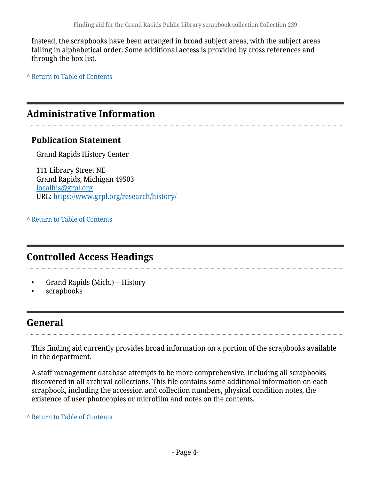Instead, the scrapbooks have been arranged in broad subject areas, with the subject areas falling in alphabetical order. Some additional access is provided by cross references and through the box list.

**^** [Return to Table of Contents](#page-1-0)

### <span id="page-3-0"></span>**Administrative Information**

### **Publication Statement**

Grand Rapids History Center

111 Library Street NE Grand Rapids, Michigan 49503 [localhis@grpl.org](mailto:localhis@grpl.org) URL:<https://www.grpl.org/research/history/>

**^** [Return to Table of Contents](#page-1-0)

### <span id="page-3-1"></span>**Controlled Access Headings**

- Grand Rapids (Mich.) -- History
- scrapbooks

### <span id="page-3-2"></span>**General**

This finding aid currently provides broad information on a portion of the scrapbooks available in the department.

A staff management database attempts to be more comprehensive, including all scrapbooks discovered in all archival collections. This file contains some additional information on each scrapbook, including the accession and collection numbers, physical condition notes, the existence of user photocopies or microfilm and notes on the contents.

**^** [Return to Table of Contents](#page-1-0)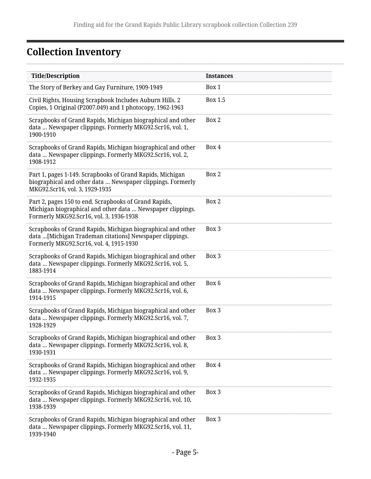. . . . . .

## <span id="page-4-0"></span>**Collection Inventory**

| <b>Title/Description</b>                                                                                                                                          | <b>Instances</b> |
|-------------------------------------------------------------------------------------------------------------------------------------------------------------------|------------------|
| The Story of Berkey and Gay Furniture, 1909-1949                                                                                                                  | Box 1            |
| Civil Rights, Housing Scrapbook Includes Auburn Hills. 2<br>Copies, 1 Original (P2007.049) and 1 photocopy, 1962-1963                                             | <b>Box 1.5</b>   |
| Scrapbooks of Grand Rapids, Michigan biographical and other<br>data  Newspaper clippings. Formerly MKG92.Scr16, vol. 1,<br>1900-1910                              | Box 2            |
| Scrapbooks of Grand Rapids, Michigan biographical and other<br>data  Newspaper clippings. Formerly MKG92.Scr16, vol. 2,<br>1908-1912                              | Box 4            |
| Part 1, pages 1-149. Scrapbooks of Grand Rapids, Michigan<br>biographical and other data  Newspaper clippings. Formerly<br>MKG92.Scr16, vol. 3, 1929-1935         | Box 2            |
| Part 2, pages 150 to end. Scrapbooks of Grand Rapids,<br>Michigan biographical and other data  Newspaper clippings.<br>Formerly MKG92.Scr16, vol. 3, 1936-1938    | Box 2            |
| Scrapbooks of Grand Rapids, Michigan biographical and other<br>data [Michigan Trademan citations] Newspaper clippings.<br>Formerly MKG92.Scr16, vol. 4, 1915-1930 | Box 3            |
| Scrapbooks of Grand Rapids, Michigan biographical and other<br>data  Newspaper clippings. Formerly MKG92.Scr16, vol. 5,<br>1883-1914                              | Box 3            |
| Scrapbooks of Grand Rapids, Michigan biographical and other<br>data  Newspaper clippings. Formerly MKG92.Scr16, vol. 6,<br>1914-1915                              | Box 6            |
| Scrapbooks of Grand Rapids, Michigan biographical and other<br>data  Newspaper clippings. Formerly MKG92.Scr16, vol. 7,<br>1928-1929                              | Box 3            |
| Scrapbooks of Grand Rapids, Michigan biographical and other<br>data  Newspaper clippings. Formerly MKG92.Scr16, vol. 8,<br>1930-1931                              | Box 3            |
| Scrapbooks of Grand Rapids, Michigan biographical and other<br>data  Newspaper clippings. Formerly MKG92.Scr16, vol. 9,<br>1932-1935                              | Box 4            |
| Scrapbooks of Grand Rapids, Michigan biographical and other<br>data  Newspaper clippings. Formerly MKG92.Scr16, vol. 10,<br>1938-1939                             | Box 3            |
| Scrapbooks of Grand Rapids, Michigan biographical and other<br>data  Newspaper clippings. Formerly MKG92.Scr16, vol. 11,<br>1939-1940                             | Box 3            |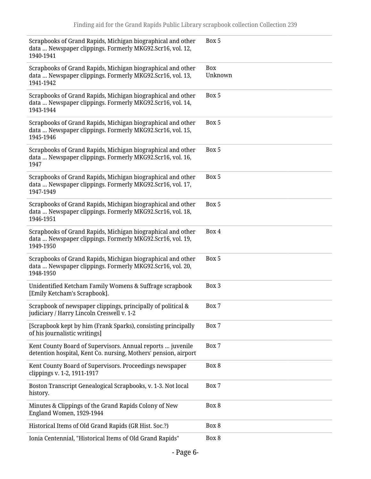| Scrapbooks of Grand Rapids, Michigan biographical and other<br>data  Newspaper clippings. Formerly MKG92.Scr16, vol. 12,<br>1940-1941 | Box 5          |
|---------------------------------------------------------------------------------------------------------------------------------------|----------------|
| Scrapbooks of Grand Rapids, Michigan biographical and other<br>data  Newspaper clippings. Formerly MKG92.Scr16, vol. 13,<br>1941-1942 | Box<br>Unknown |
| Scrapbooks of Grand Rapids, Michigan biographical and other<br>data  Newspaper clippings. Formerly MKG92.Scr16, vol. 14,<br>1943-1944 | Box 5          |
| Scrapbooks of Grand Rapids, Michigan biographical and other<br>data  Newspaper clippings. Formerly MKG92.Scr16, vol. 15,<br>1945-1946 | Box 5          |
| Scrapbooks of Grand Rapids, Michigan biographical and other<br>data  Newspaper clippings. Formerly MKG92.Scr16, vol. 16,<br>1947      | Box 5          |
| Scrapbooks of Grand Rapids, Michigan biographical and other<br>data  Newspaper clippings. Formerly MKG92.Scr16, vol. 17,<br>1947-1949 | Box 5          |
| Scrapbooks of Grand Rapids, Michigan biographical and other<br>data  Newspaper clippings. Formerly MKG92.Scr16, vol. 18,<br>1946-1951 | Box 5          |
| Scrapbooks of Grand Rapids, Michigan biographical and other<br>data  Newspaper clippings. Formerly MKG92.Scr16, vol. 19,<br>1949-1950 | Box 4          |
| Scrapbooks of Grand Rapids, Michigan biographical and other<br>data  Newspaper clippings. Formerly MKG92.Scr16, vol. 20,<br>1948-1950 | Box 5          |
| Unidentified Ketcham Family Womens & Suffrage scrapbook<br>[Emily Ketcham's Scrapbook].                                               | Box 3          |
| Scrapbook of newspaper clippings, principally of political &<br>judiciary / Harry Lincoln Creswell v. 1-2                             | Box 7          |
| [Scrapbook kept by him (Frank Sparks), consisting principally<br>of his journalistic writings]                                        | Box 7          |
| Kent County Board of Supervisors. Annual reports  juvenile<br>detention hospital, Kent Co. nursing, Mothers' pension, airport         | Box 7          |
| Kent County Board of Supervisors. Proceedings newspaper<br>clippings v. 1-2, 1911-1917                                                | Box 8          |
| Boston Transcript Genealogical Scrapbooks, v. 1-3. Not local<br>history.                                                              | Box 7          |
| Minutes & Clippings of the Grand Rapids Colony of New<br>England Women, 1929-1944                                                     | Box 8          |
| Historical Items of Old Grand Rapids (GR Hist. Soc.?)                                                                                 | Box 8          |
| Ionia Centennial, "Historical Items of Old Grand Rapids"                                                                              | Box 8          |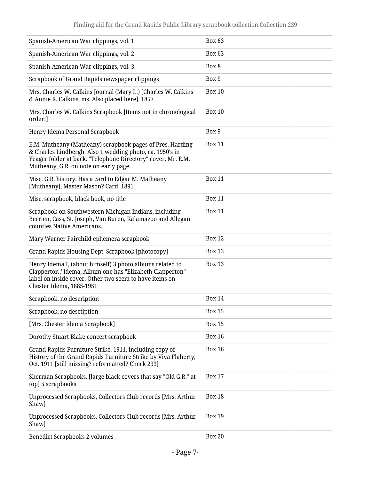| Spanish-American War clippings, vol. 1                                                                                                                                                                                         | <b>Box 63</b> |
|--------------------------------------------------------------------------------------------------------------------------------------------------------------------------------------------------------------------------------|---------------|
| Spanish-American War clippings, vol. 2                                                                                                                                                                                         | <b>Box 63</b> |
| Spanish-American War clippings, vol. 3                                                                                                                                                                                         | Box 8         |
| Scrapbook of Grand Rapids newspaper clippings                                                                                                                                                                                  | Box 9         |
| Mrs. Charles W. Calkins Journal (Mary L.) [Charles W. Calkins<br>& Annie R. Calkins, ms. Also placed here], 1857                                                                                                               | <b>Box 10</b> |
| Mrs. Charles W. Calkins Scrapbook [Items not in chronological<br>order!]                                                                                                                                                       | <b>Box 10</b> |
| Henry Idema Personal Scrapbook                                                                                                                                                                                                 | Box 9         |
| E.M. Mutheany (Matheany) scrapbook pages of Pres. Harding<br>& Charles Lindbergh. Also 1 wedding photo, ca. 1950's in<br>Yeager folder at back. "Telephone Directory" cover. Mr. E.M.<br>Mutheany, G.R. on note on early page. | <b>Box 11</b> |
| Misc. G.R. history. Has a card to Edgar M. Matheany<br>[Mutheany], Master Mason? Card, 1891                                                                                                                                    | <b>Box 11</b> |
| Misc. scrapbook, black book, no title                                                                                                                                                                                          | <b>Box 11</b> |
| Scrapbook on Southwestern Michigan Indians, including<br>Berrien, Cass, St. Joseph, Van Buren, Kalamazoo and Allegan<br>counties Native Americans.                                                                             | <b>Box 11</b> |
| Mary Warner Fairchild ephemera scrapbook                                                                                                                                                                                       | <b>Box 12</b> |
| Grand Rapids Housing Dept. Scrapbook [photocopy]                                                                                                                                                                               | <b>Box 13</b> |
| Henry Idema I, (about himself) 3 photo albums related to<br>Clapperton / Idema, Album one has "Elizabeth Clapperton"<br>label on inside cover. Other two seem to have items on<br>Chester Idema, 1885-1951                     | <b>Box 13</b> |
| Scrapbook, no description                                                                                                                                                                                                      | <b>Box 14</b> |
| Scrapbook, no desctiption                                                                                                                                                                                                      | <b>Box 15</b> |
| [Mrs. Chester Idema Scrapbook]                                                                                                                                                                                                 | <b>Box 15</b> |
| Dorothy Stuart Blake concert scrapbook                                                                                                                                                                                         | <b>Box 16</b> |
| Grand Rapids Furniture Strike. 1911, including copy of<br>History of the Grand Rapids Furniture Strike by Viva Flaherty,<br>Oct. 1911 [still missing? reformatted? Check 233]                                                  | <b>Box 16</b> |
| Sherman Scrapbooks, [large black covers that say "Old G.R." at<br>top] 5 scrapbooks                                                                                                                                            | <b>Box 17</b> |
| Unprocessed Scrapbooks, Collectors Club records [Mrs. Arthur<br>Shaw]                                                                                                                                                          | <b>Box 18</b> |
| Unprocessed Scrapbooks, Collectors Club records [Mrs. Arthur<br>Shaw]                                                                                                                                                          | <b>Box 19</b> |
| <b>Benedict Scrapbooks 2 volumes</b>                                                                                                                                                                                           | <b>Box 20</b> |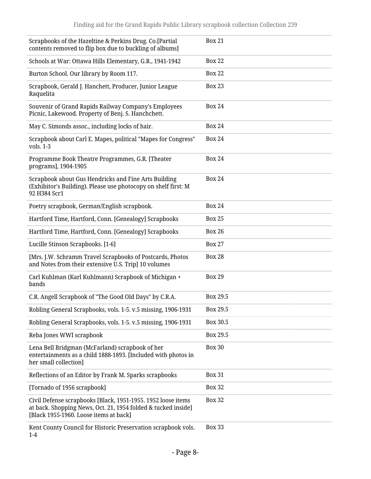| Scrapbooks of the Hazeltine & Perkins Drug. Co.[Partial<br>contents removed to flip box due to buckling of albums]                                                      | <b>Box 21</b> |
|-------------------------------------------------------------------------------------------------------------------------------------------------------------------------|---------------|
| Schools at War: Ottawa Hills Elementary, G.R., 1941-1942                                                                                                                | <b>Box 22</b> |
| Burton School. Our library by Room 117.                                                                                                                                 | <b>Box 22</b> |
| Scrapbook, Gerald J. Hanchett, Producer, Junior League<br>Raquelita                                                                                                     | <b>Box 23</b> |
| Souvenir of Grand Rapids Railway Company's Employees<br>Picnic, Lakewood. Property of Benj. S. Hanchchett.                                                              | <b>Box 24</b> |
| May C. Simonds assoc., including locks of hair.                                                                                                                         | <b>Box 24</b> |
| Scrapbook about Carl E. Mapes, political "Mapes for Congress"<br>vols. 1-3                                                                                              | <b>Box 24</b> |
| Programme Book Theatre Programmes, G.R. [Theater<br>programs], 1904-1905                                                                                                | <b>Box 24</b> |
| Scrapbook about Gus Hendricks and Fine Arts Building<br>(Exhibitor's Building). Please use photocopy on shelf first: M<br>92 H384 Scr1                                  | <b>Box 24</b> |
| Poetry scrapbook, German/English scrapbook.                                                                                                                             | <b>Box 24</b> |
| Hartford Time, Hartford, Conn. [Genealogy] Scrapbooks                                                                                                                   | <b>Box 25</b> |
| Hartford Time, Hartford, Conn. [Genealogy] Scrapbooks                                                                                                                   | <b>Box 26</b> |
| Lucille Stinson Scrapbooks. [1-6]                                                                                                                                       | <b>Box 27</b> |
| [Mrs. J.W. Schramm Travel Scrapbooks of Postcards, Photos<br>and Notes from their extensive U.S. Trip] 10 volumes                                                       | <b>Box 28</b> |
| Carl Kuhlman (Karl Kuhlmann) Scrapbook of Michigan +<br>bands                                                                                                           | <b>Box 29</b> |
| C.R. Angell Scrapbook of "The Good Old Days" by C.R.A.                                                                                                                  | Box 29.5      |
| Robling General Scrapbooks, vols. 1-5. v.5 missing, 1906-1931                                                                                                           | Box 29.5      |
| Robling General Scrapbooks, vols. 1-5. v.5 missing, 1906-1931                                                                                                           | Box 30.5      |
| Reba Jones WWI scrapbook                                                                                                                                                | Box 29.5      |
| Lena Bell Bridgman (McFarland) scrapbook of her<br>entertainments as a child 1888-1893. [Included with photos in<br>her small collection]                               | <b>Box 30</b> |
| Reflections of an Editor by Frank M. Sparks scrapbooks                                                                                                                  | <b>Box 31</b> |
| [Tornado of 1956 scrapbook]                                                                                                                                             | <b>Box 32</b> |
| Civil Defense scrapbooks [Black, 1951-1955. 1952 loose items<br>at back. Shopping News, Oct. 21, 1954 folded & tucked inside]<br>[Black 1955-1960. Loose items at back] | <b>Box 32</b> |
| Kent County Council for Historic Preservation scrapbook vols.<br>$1-4$                                                                                                  | <b>Box 33</b> |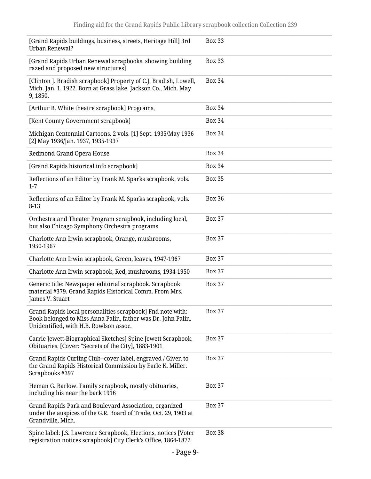| [Grand Rapids buildings, business, streets, Heritage Hill] 3rd<br>Urban Renewal?                                                                                     | <b>Box 33</b> |
|----------------------------------------------------------------------------------------------------------------------------------------------------------------------|---------------|
| [Grand Rapids Urban Renewal scrapbooks, showing building<br>razed and proposed new structures]                                                                       | <b>Box 33</b> |
| [Clinton J. Bradish scrapbook] Property of C.J. Bradish, Lowell,<br>Mich. Jan. 1, 1922. Born at Grass lake, Jackson Co., Mich. May<br>9, 1850.                       | <b>Box 34</b> |
| [Arthur B. White theatre scrapbook] Programs,                                                                                                                        | <b>Box 34</b> |
| [Kent County Government scrapbook]                                                                                                                                   | <b>Box 34</b> |
| Michigan Centennial Cartoons. 2 vols. [1] Sept. 1935/May 1936<br>[2] May 1936/Jan. 1937, 1935-1937                                                                   | <b>Box 34</b> |
| Redmond Grand Opera House                                                                                                                                            | <b>Box 34</b> |
| [Grand Rapids historical info scrapbook]                                                                                                                             | <b>Box 34</b> |
| Reflections of an Editor by Frank M. Sparks scrapbook, vols.<br>$1 - 7$                                                                                              | <b>Box 35</b> |
| Reflections of an Editor by Frank M. Sparks scrapbook, vols.<br>$8-13$                                                                                               | <b>Box 36</b> |
| Orchestra and Theater Program scrapbook, including local,<br>but also Chicago Symphony Orchestra programs                                                            | <b>Box 37</b> |
| Charlotte Ann Irwin scrapbook, Orange, mushrooms,<br>1950-1967                                                                                                       | <b>Box 37</b> |
| Charlotte Ann Irwin scrapbook, Green, leaves, 1947-1967                                                                                                              | <b>Box 37</b> |
| Charlotte Ann Irwin scrapbook, Red, mushrooms, 1934-1950                                                                                                             | <b>Box 37</b> |
| Generic title: Newspaper editorial scrapbook. Scrapbook<br>material #379. Grand Rapids Historical Comm. From Mrs.<br>James V. Stuart                                 | <b>Box 37</b> |
| Grand Rapids local personalities scrapbook] Fnd note with:<br>Book belonged to Miss Anna Palin, father was Dr. John Palin.<br>Unidentified, with H.B. Rowlson assoc. | <b>Box 37</b> |
| Carrie Jewett-Biographical Sketches] Spine Jewett Scrapbook.<br>Obituaries. [Cover: "Secrets of the City], 1883-1901                                                 | <b>Box 37</b> |
| Grand Rapids Curling Club--cover label, engraved / Given to<br>the Grand Rapids Historical Commission by Earle K. Miller.<br>Scrapbooks #397                         | <b>Box 37</b> |
| Heman G. Barlow. Family scrapbook, mostly obituaries,<br>including his near the back 1916                                                                            | <b>Box 37</b> |
| Grand Rapids Park and Boulevard Association, organized<br>under the auspices of the G.R. Board of Trade, Oct. 29, 1903 at<br>Grandville, Mich.                       | <b>Box 37</b> |
| Spine label: J.S. Lawrence Scrapbook, Elections, notices [Voter<br>registration notices scrapbook] City Clerk's Office, 1864-1872                                    | <b>Box 38</b> |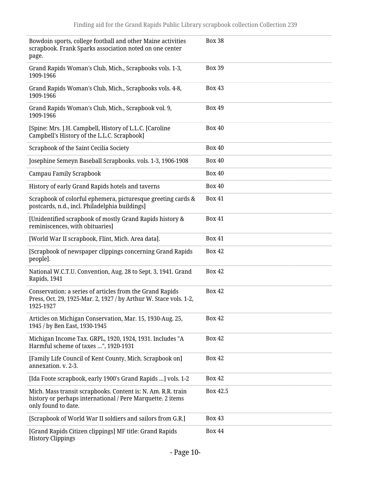| Bowdoin sports, college football and other Maine activities<br>scrapbook. Frank Sparks association noted on one center<br>page.                   | <b>Box 38</b> |
|---------------------------------------------------------------------------------------------------------------------------------------------------|---------------|
| Grand Rapids Woman's Club, Mich., Scrapbooks vols. 1-3,<br>1909-1966                                                                              | <b>Box 39</b> |
| Grand Rapids Woman's Club, Mich., Scrapbooks vols. 4-8,<br>1909-1966                                                                              | <b>Box 43</b> |
| Grand Rapids Woman's Club, Mich., Scrapbook vol. 9,<br>1909-1966                                                                                  | <b>Box 49</b> |
| [Spine: Mrs. J.H. Campbell, History of L.L.C. [Caroline<br>Campbell's History of the L.L.C. Scrapbook]                                            | <b>Box 40</b> |
| Scrapbook of the Saint Cecilia Society                                                                                                            | <b>Box 40</b> |
| Josephine Semeyn Baseball Scrapbooks. vols. 1-3, 1906-1908                                                                                        | <b>Box 40</b> |
| <b>Campau Family Scrapbook</b>                                                                                                                    | <b>Box 40</b> |
| History of early Grand Rapids hotels and taverns                                                                                                  | <b>Box 40</b> |
| Scrapbook of colorful ephemera, picturesque greeting cards &<br>postcards, n.d., incl. Philadelphia buildings]                                    | <b>Box 41</b> |
| [Unidentified scrapbook of mostly Grand Rapids history &<br>reminiscences, with obituaries]                                                       | <b>Box 41</b> |
| [World War II scrapbook, Flint, Mich. Area data].                                                                                                 | <b>Box 41</b> |
| [Scrapbook of newspaper clippings concerning Grand Rapids<br>people].                                                                             | <b>Box 42</b> |
| National W.C.T.U. Convention, Aug. 28 to Sept. 3, 1941. Grand<br>Rapids, 1941                                                                     | <b>Box 42</b> |
| Conservation: a series of articles from the Grand Rapids<br>Press, Oct. 29, 1925-Mar. 2, 1927 / by Arthur W. Stace vols. 1-2,<br>1925-1927        | <b>Box 42</b> |
| Articles on Michigan Conservation, Mar. 15, 1930-Aug. 25,<br>1945 / by Ben East, 1930-1945                                                        | <b>Box 42</b> |
| Michigan Income Tax. GRPL, 1920, 1924, 1931. Includes "A<br>Harmful scheme of taxes ", 1920-1931                                                  | <b>Box 42</b> |
| [Family Life Council of Kent County, Mich. Scrapbook on]<br>annexation. v. 2-3.                                                                   | <b>Box 42</b> |
| [Ida Foote scrapbook, early 1900's Grand Rapids ] vols. 1-2                                                                                       | <b>Box 42</b> |
| Mich. Mass transit scrapbooks. Content is: N. Am. R.R. train<br>history or perhaps international / Pere Marquette. 2 items<br>only found to date. | Box 42.5      |
| [Scrapbook of World War II soldiers and sailors from G.R.]                                                                                        | <b>Box 43</b> |
| [Grand Rapids Citizen clippings] MF title: Grand Rapids<br><b>History Clippings</b>                                                               | <b>Box 44</b> |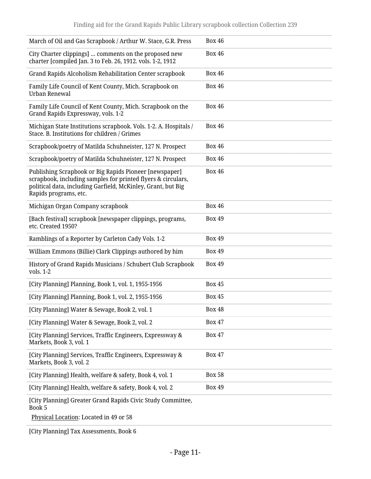| March of Oil and Gas Scrapbook / Arthur W. Stace, G.R. Press                                                                                                                                                    | <b>Box 46</b> |
|-----------------------------------------------------------------------------------------------------------------------------------------------------------------------------------------------------------------|---------------|
| City Charter clippings]  comments on the proposed new<br>charter [compiled Jan. 3 to Feb. 26, 1912. vols. 1-2, 1912                                                                                             | <b>Box 46</b> |
| Grand Rapids Alcoholism Rehabilitation Center scrapbook                                                                                                                                                         | <b>Box 46</b> |
| Family Life Council of Kent County, Mich. Scrapbook on<br><b>Urban Renewal</b>                                                                                                                                  | <b>Box 46</b> |
| Family Life Council of Kent County, Mich. Scrapbook on the<br>Grand Rapids Expressway, vols. 1-2                                                                                                                | <b>Box 46</b> |
| Michigan State Institutions scrapbook. Vols. 1-2. A. Hospitals /<br>Stace. B. Institutions for children / Grimes                                                                                                | <b>Box 46</b> |
| Scrapbook/poetry of Matilda Schuhneister, 127 N. Prospect                                                                                                                                                       | <b>Box 46</b> |
| Scrapbook/poetry of Matilda Schuhneister, 127 N. Prospect                                                                                                                                                       | <b>Box 46</b> |
| Publishing Scrapbook or Big Rapids Pioneer [newspaper]<br>scrapbook, including samples for printed flyers & circulars,<br>political data, including Garfield, McKinley, Grant, but Big<br>Rapids programs, etc. | <b>Box 46</b> |
| Michigan Organ Company scrapbook                                                                                                                                                                                | <b>Box 46</b> |
| [Bach festival] scrapbook [newspaper clippings, programs,<br>etc. Created 1950?                                                                                                                                 | <b>Box 49</b> |
| Ramblings of a Reporter by Carleton Cady Vols. 1-2                                                                                                                                                              | <b>Box 49</b> |
| William Emmons (Billie) Clark Clippings authored by him                                                                                                                                                         | <b>Box 49</b> |
| History of Grand Rapids Musicians / Schubert Club Scrapbook<br>vols. 1-2                                                                                                                                        | <b>Box 49</b> |
| [City Planning] Planning, Book 1, vol. 1, 1955-1956                                                                                                                                                             | <b>Box 45</b> |
| [City Planning] Planning, Book 1, vol. 2, 1955-1956                                                                                                                                                             | <b>Box 45</b> |
| [City Planning] Water & Sewage, Book 2, vol. 1                                                                                                                                                                  | <b>Box 48</b> |
| [City Planning] Water & Sewage, Book 2, vol. 2                                                                                                                                                                  | <b>Box 47</b> |
| [City Planning] Services, Traffic Engineers, Expressway &<br>Markets, Book 3, vol. 1                                                                                                                            | <b>Box 47</b> |
| [City Planning] Services, Traffic Engineers, Expressway &<br>Markets, Book 3, vol. 2                                                                                                                            | <b>Box 47</b> |
| [City Planning] Health, welfare & safety, Book 4, vol. 1                                                                                                                                                        | <b>Box 58</b> |
| [City Planning] Health, welfare & safety, Book 4, vol. 2                                                                                                                                                        | <b>Box 49</b> |
| [City Planning] Greater Grand Rapids Civic Study Committee,<br>Book 5                                                                                                                                           |               |
|                                                                                                                                                                                                                 |               |

Physical Location: Located in 49 or 58

[City Planning] Tax Assessments, Book 6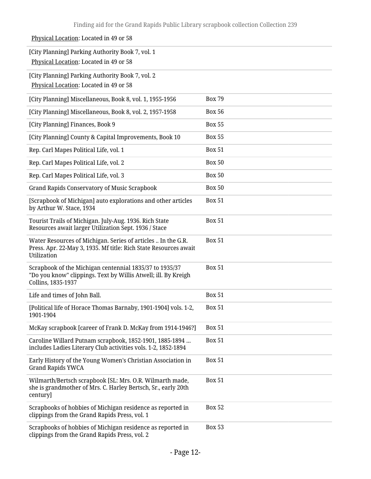| Physical Location: Located in 49 or 58                                                                                                          |               |
|-------------------------------------------------------------------------------------------------------------------------------------------------|---------------|
| [City Planning] Parking Authority Book 7, vol. 1<br>Physical Location: Located in 49 or 58                                                      |               |
| [City Planning] Parking Authority Book 7, vol. 2<br>Physical Location: Located in 49 or 58                                                      |               |
| [City Planning] Miscellaneous, Book 8, vol. 1, 1955-1956                                                                                        | <b>Box 79</b> |
| [City Planning] Miscellaneous, Book 8, vol. 2, 1957-1958                                                                                        | <b>Box 56</b> |
| [City Planning] Finances, Book 9                                                                                                                | <b>Box 55</b> |
| [City Planning] County & Capital Improvements, Book 10                                                                                          | <b>Box 55</b> |
| Rep. Carl Mapes Political Life, vol. 1                                                                                                          | <b>Box 51</b> |
| Rep. Carl Mapes Political Life, vol. 2                                                                                                          | <b>Box 50</b> |
| Rep. Carl Mapes Political Life, vol. 3                                                                                                          | <b>Box 50</b> |
| <b>Grand Rapids Conservatory of Music Scrapbook</b>                                                                                             | <b>Box 50</b> |
| [Scrapbook of Michigan] auto explorations and other articles<br>by Arthur W. Stace, 1934                                                        | <b>Box 51</b> |
| Tourist Trails of Michigan. July-Aug. 1936. Rich State<br>Resources await larger Utilization Sept. 1936 / Stace                                 | <b>Box 51</b> |
| Water Resources of Michigan. Series of articles  In the G.R.<br>Press. Apr. 22-May 3, 1935. Mf title: Rich State Resources await<br>Utilization | <b>Box 51</b> |
| Scrapbook of the Michigan centennial 1835/37 to 1935/37<br>"Do you know" clippings. Text by Willis Atwell; ill. By Kreigh<br>Collins, 1835-1937 | <b>Box 51</b> |
| Life and times of John Ball.                                                                                                                    | <b>Box 51</b> |
| [Political life of Horace Thomas Barnaby, 1901-1904] vols. 1-2,<br>1901-1904                                                                    | <b>Box 51</b> |
| McKay scrapbook [career of Frank D. McKay from 1914-1946?]                                                                                      | <b>Box 51</b> |
| Caroline Willard Putnam scrapbook, 1852-1901, 1885-1894<br>includes Ladies Literary Club activities vols. 1-2, 1852-1894                        | <b>Box 51</b> |
| Early History of the Young Women's Christian Association in<br><b>Grand Rapids YWCA</b>                                                         | <b>Box 51</b> |
| Wilmarth/Bertsch scrapbook [SL: Mrs. O.R. Wilmarth made,<br>she is grandmother of Mrs. C. Harley Bertsch, Sr., early 20th<br>century]           | <b>Box 51</b> |
| Scrapbooks of hobbies of Michigan residence as reported in<br>clippings from the Grand Rapids Press, vol. 1                                     | <b>Box 52</b> |
| Scrapbooks of hobbies of Michigan residence as reported in<br>clippings from the Grand Rapids Press, vol. 2                                     | <b>Box 53</b> |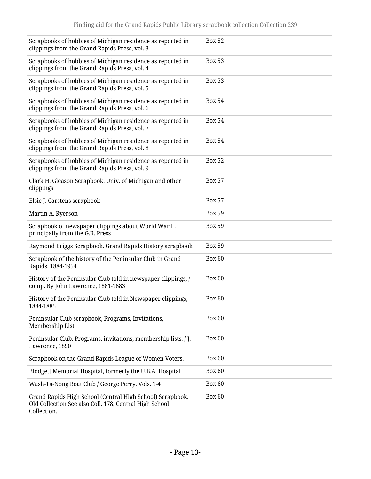| Scrapbooks of hobbies of Michigan residence as reported in<br>clippings from the Grand Rapids Press, vol. 3                        | <b>Box 52</b> |
|------------------------------------------------------------------------------------------------------------------------------------|---------------|
| Scrapbooks of hobbies of Michigan residence as reported in<br>clippings from the Grand Rapids Press, vol. 4                        | <b>Box 53</b> |
| Scrapbooks of hobbies of Michigan residence as reported in<br>clippings from the Grand Rapids Press, vol. 5                        | <b>Box 53</b> |
| Scrapbooks of hobbies of Michigan residence as reported in<br>clippings from the Grand Rapids Press, vol. 6                        | <b>Box 54</b> |
| Scrapbooks of hobbies of Michigan residence as reported in<br>clippings from the Grand Rapids Press, vol. 7                        | <b>Box 54</b> |
| Scrapbooks of hobbies of Michigan residence as reported in<br>clippings from the Grand Rapids Press, vol. 8                        | <b>Box 54</b> |
| Scrapbooks of hobbies of Michigan residence as reported in<br>clippings from the Grand Rapids Press, vol. 9                        | <b>Box 52</b> |
| Clark H. Gleason Scrapbook, Univ. of Michigan and other<br>clippings                                                               | <b>Box 57</b> |
| Elsie J. Carstens scrapbook                                                                                                        | <b>Box 57</b> |
| Martin A. Ryerson                                                                                                                  | <b>Box 59</b> |
| Scrapbook of newspaper clippings about World War II,<br>principally from the G.R. Press                                            | <b>Box 59</b> |
| Raymond Briggs Scrapbook. Grand Rapids History scrapbook                                                                           | <b>Box 59</b> |
| Scrapbook of the history of the Peninsular Club in Grand<br>Rapids, 1884-1954                                                      | <b>Box 60</b> |
| History of the Peninsular Club told in newspaper clippings, /<br>comp. By John Lawrence, 1881-1883                                 | <b>Box 60</b> |
| History of the Peninsular Club told in Newspaper clippings,<br>1884-1885                                                           | Box 60        |
| Peninsular Club scrapbook, Programs, Invitations,<br>Membership List                                                               | Box 60        |
| Peninsular Club. Programs, invitations, membership lists. / J.<br>Lawrence, 1890                                                   | <b>Box 60</b> |
| Scrapbook on the Grand Rapids League of Women Voters,                                                                              | <b>Box 60</b> |
| Blodgett Memorial Hospital, formerly the U.B.A. Hospital                                                                           | Box 60        |
| Wash-Ta-Nong Boat Club / George Perry. Vols. 1-4                                                                                   | Box 60        |
| Grand Rapids High School (Central High School) Scrapbook.<br>Old Collection See also Coll. 178, Central High School<br>Collection. | <b>Box 60</b> |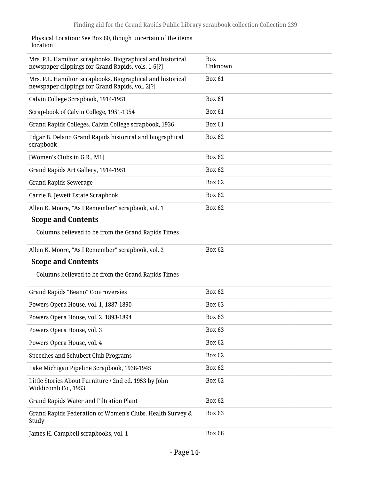#### <u>Physical Location</u>: See Box 60, though uncertain of the items location

| Mrs. P.L. Hamilton scrapbooks. Biographical and historical<br>newspaper clippings for Grand Rapids, vols. 1-6[?] | Box<br>Unknown |
|------------------------------------------------------------------------------------------------------------------|----------------|
| Mrs. P.L. Hamilton scrapbooks. Biographical and historical<br>newspaper clippings for Grand Rapids, vol. 2[?]    | <b>Box 61</b>  |
| Calvin College Scrapbook, 1914-1951                                                                              | <b>Box 61</b>  |
| Scrap-book of Calvin College, 1951-1954                                                                          | <b>Box 61</b>  |
| Grand Rapids Colleges. Calvin College scrapbook, 1936                                                            | <b>Box 61</b>  |
| Edgar B. Delano Grand Rapids historical and biographical<br>scrapbook                                            | <b>Box 62</b>  |
| [Women's Clubs in G.R., MI.]                                                                                     | <b>Box 62</b>  |
| Grand Rapids Art Gallery, 1914-1951                                                                              | <b>Box 62</b>  |
| <b>Grand Rapids Sewerage</b>                                                                                     | <b>Box 62</b>  |
| Carrie B. Jewett Estate Scrapbook                                                                                | <b>Box 62</b>  |
| Allen K. Moore, "As I Remember" scrapbook, vol. 1                                                                | <b>Box 62</b>  |
| <b>Scope and Contents</b>                                                                                        |                |
| Columns believed to be from the Grand Rapids Times                                                               |                |
| Allen K. Moore, "As I Remember" scrapbook, vol. 2                                                                | <b>Box 62</b>  |
| <b>Scope and Contents</b>                                                                                        |                |
| Columns believed to be from the Grand Rapids Times                                                               |                |
| <b>Grand Rapids "Beano" Controversies</b>                                                                        | <b>Box 62</b>  |
| Powers Opera House, vol. 1, 1887-1890                                                                            | <b>Box 63</b>  |
| Powers Opera House, vol. 2, 1893-1894                                                                            | <b>Box 63</b>  |
| Powers Opera House, vol. 3                                                                                       | <b>Box 63</b>  |
| Powers Opera House, vol. 4                                                                                       | Box 62         |
| Speeches and Schubert Club Programs                                                                              | <b>Box 62</b>  |
| Lake Michigan Pipeline Scrapbook, 1938-1945                                                                      | <b>Box 62</b>  |
| Little Stories About Furniture / 2nd ed. 1953 by John<br>Widdicomb Co., 1953                                     | <b>Box 62</b>  |
| Grand Rapids Water and Filtration Plant                                                                          | <b>Box 62</b>  |
| Grand Rapids Federation of Women's Clubs. Health Survey &<br>Study                                               | Box 63         |
| James H. Campbell scrapbooks, vol. 1                                                                             | Box 66         |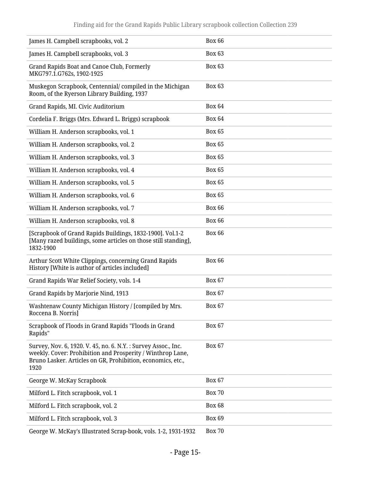| James H. Campbell scrapbooks, vol. 2                                                                                                                                                               | <b>Box 66</b> |
|----------------------------------------------------------------------------------------------------------------------------------------------------------------------------------------------------|---------------|
| James H. Campbell scrapbooks, vol. 3                                                                                                                                                               | <b>Box 63</b> |
| Grand Rapids Boat and Canoe Club, Formerly<br>MKG797.1.G762s, 1902-1925                                                                                                                            | <b>Box 63</b> |
| Muskegon Scrapbook, Centennial/compiled in the Michigan<br>Room, of the Ryerson Library Building, 1937                                                                                             | <b>Box 63</b> |
| Grand Rapids, MI. Civic Auditorium                                                                                                                                                                 | <b>Box 64</b> |
| Cordelia F. Briggs (Mrs. Edward L. Briggs) scrapbook                                                                                                                                               | <b>Box 64</b> |
| William H. Anderson scrapbooks, vol. 1                                                                                                                                                             | <b>Box 65</b> |
| William H. Anderson scrapbooks, vol. 2                                                                                                                                                             | <b>Box 65</b> |
| William H. Anderson scrapbooks, vol. 3                                                                                                                                                             | <b>Box 65</b> |
| William H. Anderson scrapbooks, vol. 4                                                                                                                                                             | <b>Box 65</b> |
| William H. Anderson scrapbooks, vol. 5                                                                                                                                                             | <b>Box 65</b> |
| William H. Anderson scrapbooks, vol. 6                                                                                                                                                             | <b>Box 65</b> |
| William H. Anderson scrapbooks, vol. 7                                                                                                                                                             | <b>Box 66</b> |
| William H. Anderson scrapbooks, vol. 8                                                                                                                                                             | <b>Box 66</b> |
| [Scrapbook of Grand Rapids Buildings, 1832-1900]. Vol.1-2<br>[Many razed buildings, some articles on those still standing],<br>1832-1900                                                           | <b>Box 66</b> |
| Arthur Scott White Clippings, concerning Grand Rapids<br>History [White is author of articles included]                                                                                            | <b>Box 66</b> |
| Grand Rapids War Relief Society, vols. 1-4                                                                                                                                                         | <b>Box 67</b> |
| Grand Rapids by Marjorie Nind, 1913                                                                                                                                                                | <b>Box 67</b> |
| Washtenaw County Michigan History / [compiled by Mrs.<br>Roccena B. Norris]                                                                                                                        | Box 67        |
| Scrapbook of Floods in Grand Rapids "Floods in Grand<br>Rapids"                                                                                                                                    | <b>Box 67</b> |
| Survey, Nov. 6, 1920. V. 45, no. 6. N.Y.: Survey Assoc., Inc.<br>weekly. Cover: Prohibition and Prosperity / Winthrop Lane,<br>Bruno Lasker. Articles on GR, Prohibition, economics, etc.,<br>1920 | <b>Box 67</b> |
| George W. McKay Scrapbook                                                                                                                                                                          | <b>Box 67</b> |
| Milford L. Fitch scrapbook, vol. 1                                                                                                                                                                 | <b>Box 70</b> |
| Milford L. Fitch scrapbook, vol. 2                                                                                                                                                                 | <b>Box 68</b> |
| Milford L. Fitch scrapbook, vol. 3                                                                                                                                                                 | <b>Box 69</b> |
| George W. McKay's Illustrated Scrap-book, vols. 1-2, 1931-1932                                                                                                                                     | <b>Box 70</b> |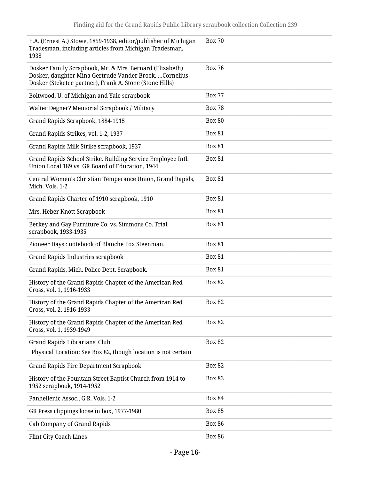| E.A. (Ernest A.) Stowe, 1859-1938, editor/publisher of Michigan<br>Tradesman, including articles from Michigan Tradesman,<br>1938                                             | <b>Box 70</b> |
|-------------------------------------------------------------------------------------------------------------------------------------------------------------------------------|---------------|
| Dosker Family Scrapbook, Mr. & Mrs. Bernard (Elizabeth)<br>Dosker, daughter Mina Gertrude Vander Broek,  Cornelius<br>Dosker (Steketee partner), Frank A. Stone (Stone Hills) | <b>Box 76</b> |
| Boltwood, U. of Michigan and Yale scrapbook                                                                                                                                   | <b>Box 77</b> |
| Walter Degner? Memorial Scrapbook / Military                                                                                                                                  | <b>Box 78</b> |
| Grand Rapids Scrapbook, 1884-1915                                                                                                                                             | <b>Box 80</b> |
| Grand Rapids Strikes, vol. 1-2, 1937                                                                                                                                          | <b>Box 81</b> |
| Grand Rapids Milk Strike scrapbook, 1937                                                                                                                                      | <b>Box 81</b> |
| Grand Rapids School Strike. Building Service Employee Intl.<br>Union Local 189 vs. GR Board of Education, 1944                                                                | <b>Box 81</b> |
| Central Women's Christian Temperance Union, Grand Rapids,<br>Mich. Vols. 1-2                                                                                                  | <b>Box 81</b> |
| Grand Rapids Charter of 1910 scrapbook, 1910                                                                                                                                  | <b>Box 81</b> |
| Mrs. Heber Knott Scrapbook                                                                                                                                                    | <b>Box 81</b> |
| Berkey and Gay Furniture Co. vs. Simmons Co. Trial<br>scrapbook, 1933-1935                                                                                                    | <b>Box 81</b> |
| Pioneer Days: notebook of Blanche Fox Steenman.                                                                                                                               | <b>Box 81</b> |
| <b>Grand Rapids Industries scrapbook</b>                                                                                                                                      | <b>Box 81</b> |
| Grand Rapids, Mich. Police Dept. Scrapbook.                                                                                                                                   | <b>Box 81</b> |
| History of the Grand Rapids Chapter of the American Red<br>Cross, vol. 1, 1916-1933                                                                                           | <b>Box 82</b> |
| History of the Grand Rapids Chapter of the American Red<br>Cross, vol. 2, 1916-1933                                                                                           | <b>Box 82</b> |
| History of the Grand Rapids Chapter of the American Red<br>Cross, vol. 1, 1939-1949                                                                                           | <b>Box 82</b> |
| Grand Rapids Librarians' Club<br>Physical Location: See Box 82, though location is not certain                                                                                | <b>Box 82</b> |
| <b>Grand Rapids Fire Department Scrapbook</b>                                                                                                                                 | <b>Box 82</b> |
| History of the Fountain Street Baptist Church from 1914 to<br>1952 scrapbook, 1914-1952                                                                                       | <b>Box 83</b> |
| Panhellenic Assoc., G.R. Vols. 1-2                                                                                                                                            | <b>Box 84</b> |
| GR Press clippings loose in box, 1977-1980                                                                                                                                    | <b>Box 85</b> |
| Cab Company of Grand Rapids                                                                                                                                                   | <b>Box 86</b> |
| Flint City Coach Lines                                                                                                                                                        | <b>Box 86</b> |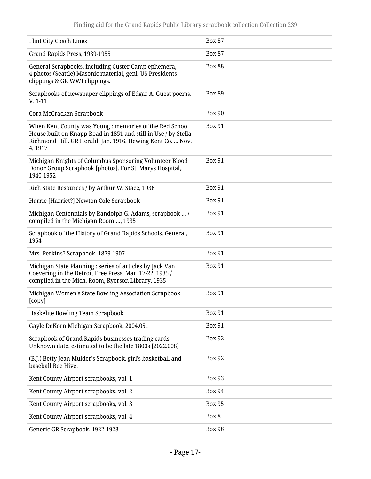| Flint City Coach Lines                                                                                                                                                                            | <b>Box 87</b> |
|---------------------------------------------------------------------------------------------------------------------------------------------------------------------------------------------------|---------------|
| Grand Rapids Press, 1939-1955                                                                                                                                                                     | <b>Box 87</b> |
| General Scrapbooks, including Custer Camp ephemera,<br>4 photos (Seattle) Masonic material, genl. US Presidents<br>clippings & GR WWI clippings.                                                  | <b>Box 88</b> |
| Scrapbooks of newspaper clippings of Edgar A. Guest poems.<br>$V. 1-11$                                                                                                                           | <b>Box 89</b> |
| Cora McCracken Scrapbook                                                                                                                                                                          | <b>Box 90</b> |
| When Kent County was Young: memories of the Red School<br>House built on Knapp Road in 1851 and still in Use / by Stella<br>Richmond Hill. GR Herald, Jan. 1916, Hewing Kent Co.  Nov.<br>4, 1917 | <b>Box 91</b> |
| Michigan Knights of Columbus Sponsoring Volunteer Blood<br>Donor Group Scrapbook [photos]. For St. Marys Hospital,,<br>1940-1952                                                                  | <b>Box 91</b> |
| Rich State Resources / by Arthur W. Stace, 1936                                                                                                                                                   | <b>Box 91</b> |
| Harrie [Harriet?] Newton Cole Scrapbook                                                                                                                                                           | <b>Box 91</b> |
| Michigan Centennials by Randolph G. Adams, scrapbook  /<br>compiled in the Michigan Room , 1935                                                                                                   | <b>Box 91</b> |
| Scrapbook of the History of Grand Rapids Schools. General,<br>1954                                                                                                                                | <b>Box 91</b> |
| Mrs. Perkins? Scrapbook, 1879-1907                                                                                                                                                                | <b>Box 91</b> |
| Michigan State Planning : series of articles by Jack Van<br>Coevering in the Detroit Free Press, Mar. 17-22, 1935 /<br>compiled in the Mich. Room, Ryerson Library, 1935                          | <b>Box 91</b> |
| Michigan Women's State Bowling Association Scrapbook<br>[copy]                                                                                                                                    | <b>Box 91</b> |
| Haskelite Bowling Team Scrapbook                                                                                                                                                                  | <b>Box 91</b> |
| Gayle DeKorn Michigan Scrapbook, 2004.051                                                                                                                                                         | <b>Box 91</b> |
| Scrapbook of Grand Rapids businesses trading cards.<br>Unknown date, estimated to be the late 1800s [2022.008]                                                                                    | <b>Box 92</b> |
| (B.J.) Betty Jean Mulder's Scrapbook, girl's basketball and<br>baseball Bee Hive.                                                                                                                 | <b>Box 92</b> |
| Kent County Airport scrapbooks, vol. 1                                                                                                                                                            | <b>Box 93</b> |
| Kent County Airport scrapbooks, vol. 2                                                                                                                                                            | <b>Box 94</b> |
| Kent County Airport scrapbooks, vol. 3                                                                                                                                                            | <b>Box 95</b> |
| Kent County Airport scrapbooks, vol. 4                                                                                                                                                            | Box 8         |
| Generic GR Scrapbook, 1922-1923                                                                                                                                                                   | <b>Box 96</b> |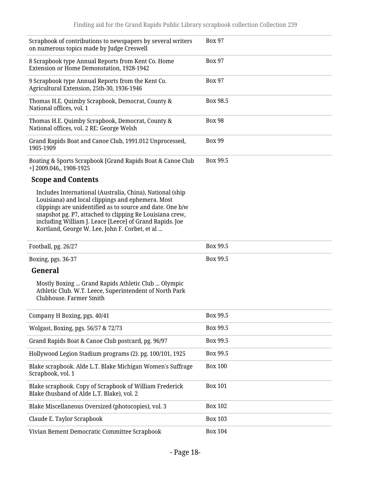| Scrapbook of contributions to newspapers by several writers<br>on numerous topics made by Judge Creswell                                                                                                                                                                                                                                             | <b>Box 97</b>  |
|------------------------------------------------------------------------------------------------------------------------------------------------------------------------------------------------------------------------------------------------------------------------------------------------------------------------------------------------------|----------------|
| 8 Scrapbook type Annual Reports from Kent Co. Home<br>Extension or Home Demonstation, 1928-1942                                                                                                                                                                                                                                                      | <b>Box 97</b>  |
| 9 Scrapbook type Annual Reports from the Kent Co.<br>Agricultural Extension, 25th-30, 1936-1946                                                                                                                                                                                                                                                      | <b>Box 97</b>  |
| Thomas H.E. Quimby Scrapbook, Democrat, County &<br>National offices, vol. 1                                                                                                                                                                                                                                                                         | Box 98.5       |
| Thomas H.E. Quimby Scrapbook, Democrat, County &<br>National offices, vol. 2 RE: George Welsh                                                                                                                                                                                                                                                        | <b>Box 98</b>  |
| Grand Rapids Boat and Canoe Club, 1991.012 Unprocessed,<br>1905-1909                                                                                                                                                                                                                                                                                 | <b>Box 99</b>  |
| Boating & Sports Scrapbook [Grand Rapids Boat & Canoe Club<br>+] 2009.046,, 1908-1925                                                                                                                                                                                                                                                                | Box 99.5       |
| <b>Scope and Contents</b>                                                                                                                                                                                                                                                                                                                            |                |
| Includes International (Australia, China), National (ship<br>Louisiana) and local clippings and ephemera. Most<br>clippings are unidentified as to source and date. One b/w<br>snapshot pg. P7, attached to clipping Re Louisiana crew,<br>including William J. Leace [Leece] of Grand Rapids. Joe<br>Kortland, George W. Lee, John F. Corbet, et al |                |
|                                                                                                                                                                                                                                                                                                                                                      |                |
| Football, pg. 26/27                                                                                                                                                                                                                                                                                                                                  | Box 99.5       |
| Boxing, pgs. 36-37                                                                                                                                                                                                                                                                                                                                   | Box 99.5       |
| General                                                                                                                                                                                                                                                                                                                                              |                |
| Mostly Boxing  Grand Rapids Athletic Club  Olympic<br>Athletic Club. W.T. Leece, Superintendent of North Park<br>Clubhouse. Farmer Smith                                                                                                                                                                                                             |                |
| Company H Boxing, pgs. 40/41                                                                                                                                                                                                                                                                                                                         | Box 99.5       |
| Wolgast, Boxing, pgs. 56/57 & 72/73                                                                                                                                                                                                                                                                                                                  | Box 99.5       |
| Grand Rapids Boat & Canoe Club postcard, pg. 96/97                                                                                                                                                                                                                                                                                                   | Box 99.5       |
| Hollywood Legion Stadium programs (2). pg. 100/101, 1925                                                                                                                                                                                                                                                                                             | Box 99.5       |
| Blake scrapbook. Alde L.T. Blake Michigan Women's Suffrage<br>Scrapbook, vol. 1                                                                                                                                                                                                                                                                      | <b>Box 100</b> |
| Blake scrapbook. Copy of Scrapbook of William Frederick<br>Blake (husband of Alde L.T. Blake), vol. 2                                                                                                                                                                                                                                                | <b>Box 101</b> |
| Blake Miscellaneous Oversized (photocopies), vol. 3                                                                                                                                                                                                                                                                                                  | <b>Box 102</b> |
| Claude E. Taylor Scrapbook                                                                                                                                                                                                                                                                                                                           | <b>Box 103</b> |